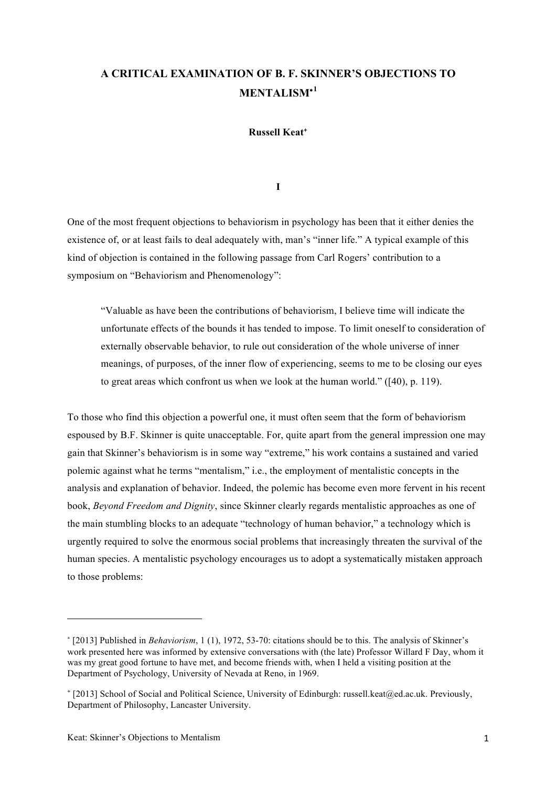## **A CRITICAL EXAMINATION OF B. F. SKINNER'S OBJECTIONS TO MENTALISM**<sup>∗</sup>**<sup>1</sup>**

**Russell Keat**<sup>+</sup>

**I**

One of the most frequent objections to behaviorism in psychology has been that it either denies the existence of, or at least fails to deal adequately with, man's "inner life." A typical example of this kind of objection is contained in the following passage from Carl Rogers' contribution to a symposium on "Behaviorism and Phenomenology":

"Valuable as have been the contributions of behaviorism, I believe time will indicate the unfortunate effects of the bounds it has tended to impose. To limit oneself to consideration of externally observable behavior, to rule out consideration of the whole universe of inner meanings, of purposes, of the inner flow of experiencing, seems to me to be closing our eyes to great areas which confront us when we look at the human world." ([40), p. 119).

To those who find this objection a powerful one, it must often seem that the form of behaviorism espoused by B.F. Skinner is quite unacceptable. For, quite apart from the general impression one may gain that Skinner's behaviorism is in some way "extreme," his work contains a sustained and varied polemic against what he terms "mentalism," i.e., the employment of mentalistic concepts in the analysis and explanation of behavior. Indeed, the polemic has become even more fervent in his recent book, *Beyond Freedom and Dignity*, since Skinner clearly regards mentalistic approaches as one of the main stumbling blocks to an adequate "technology of human behavior," a technology which is urgently required to solve the enormous social problems that increasingly threaten the survival of the human species. A mentalistic psychology encourages us to adopt a systematically mistaken approach to those problems:

<u> 1989 - Johann Stein, fransk politik (d. 1989)</u>

<sup>∗</sup> [2013] Published in *Behaviorism*, 1 (1), 1972, 53-70: citations should be to this. The analysis of Skinner's work presented here was informed by extensive conversations with (the late) Professor Willard F Day, whom it was my great good fortune to have met, and become friends with, when I held a visiting position at the Department of Psychology, University of Nevada at Reno, in 1969.

<sup>+</sup> [2013] School of Social and Political Science, University of Edinburgh: russell.keat@ed.ac.uk. Previously, Department of Philosophy, Lancaster University.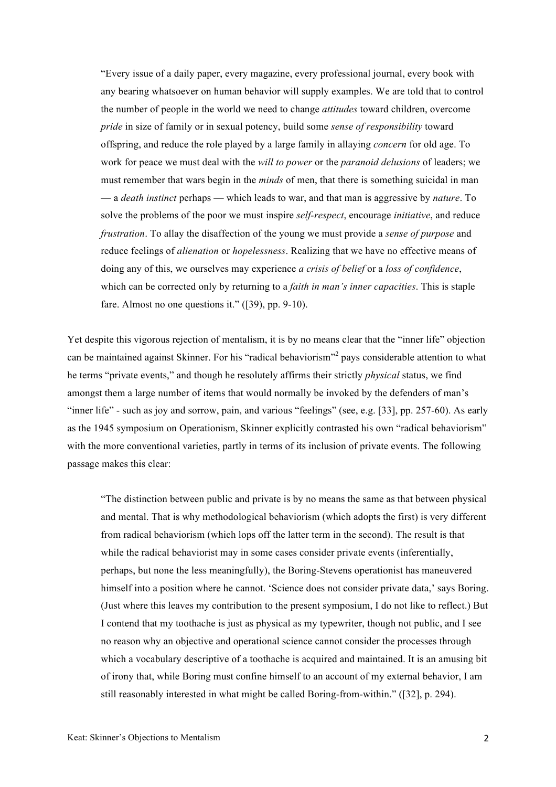"Every issue of a daily paper, every magazine, every professional journal, every book with any bearing whatsoever on human behavior will supply examples. We are told that to control the number of people in the world we need to change *attitudes* toward children, overcome *pride* in size of family or in sexual potency, build some *sense of responsibility* toward offspring, and reduce the role played by a large family in allaying *concern* for old age. To work for peace we must deal with the *will to power* or the *paranoid delusions* of leaders; we must remember that wars begin in the *minds* of men, that there is something suicidal in man — a *death instinct* perhaps — which leads to war, and that man is aggressive by *nature*. To solve the problems of the poor we must inspire *self-respect*, encourage *initiative*, and reduce *frustration*. To allay the disaffection of the young we must provide a *sense of purpose* and reduce feelings of *alienation* or *hopelessness*. Realizing that we have no effective means of doing any of this, we ourselves may experience *a crisis of belief* or a *loss of confidence*, which can be corrected only by returning to a *faith in man's inner capacities*. This is staple fare. Almost no one questions it." ([39), pp. 9-10).

Yet despite this vigorous rejection of mentalism, it is by no means clear that the "inner life" objection can be maintained against Skinner. For his "radical behaviorism"<sup>2</sup> pays considerable attention to what he terms "private events," and though he resolutely affirms their strictly *physical* status, we find amongst them a large number of items that would normally be invoked by the defenders of man's "inner life" - such as joy and sorrow, pain, and various "feelings" (see, e.g. [33], pp. 257-60). As early as the 1945 symposium on Operationism, Skinner explicitly contrasted his own "radical behaviorism" with the more conventional varieties, partly in terms of its inclusion of private events. The following passage makes this clear:

"The distinction between public and private is by no means the same as that between physical and mental. That is why methodological behaviorism (which adopts the first) is very different from radical behaviorism (which lops off the latter term in the second). The result is that while the radical behaviorist may in some cases consider private events (inferentially, perhaps, but none the less meaningfully), the Boring-Stevens operationist has maneuvered himself into a position where he cannot. 'Science does not consider private data,' says Boring. (Just where this leaves my contribution to the present symposium, I do not like to reflect.) But I contend that my toothache is just as physical as my typewriter, though not public, and I see no reason why an objective and operational science cannot consider the processes through which a vocabulary descriptive of a toothache is acquired and maintained. It is an amusing bit of irony that, while Boring must confine himself to an account of my external behavior, I am still reasonably interested in what might be called Boring-from-within." ([32], p. 294).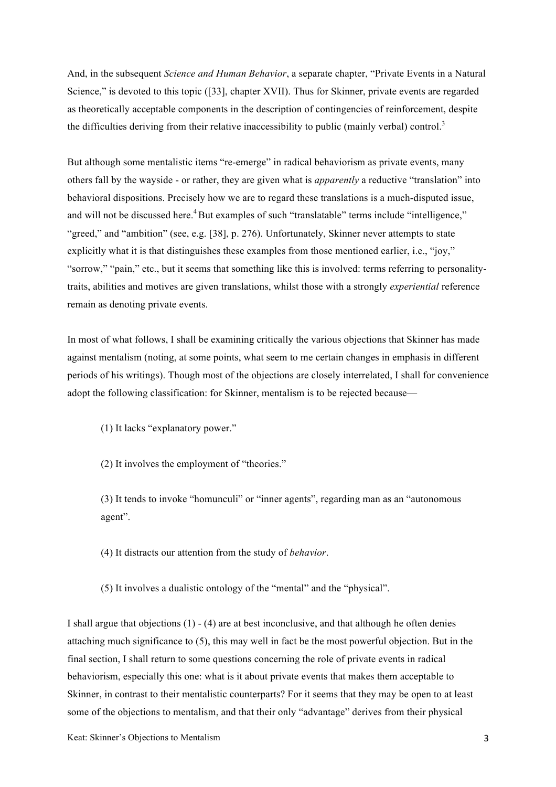And, in the subsequent *Science and Human Behavior*, a separate chapter, "Private Events in a Natural Science," is devoted to this topic ([33], chapter XVII). Thus for Skinner, private events are regarded as theoretically acceptable components in the description of contingencies of reinforcement, despite the difficulties deriving from their relative inaccessibility to public (mainly verbal) control.<sup>3</sup>

But although some mentalistic items "re-emerge" in radical behaviorism as private events, many others fall by the wayside - or rather, they are given what is *apparently* a reductive "translation" into behavioral dispositions. Precisely how we are to regard these translations is a much-disputed issue, and will not be discussed here.<sup>4</sup> But examples of such "translatable" terms include "intelligence," "greed," and "ambition" (see, e.g. [38], p. 276). Unfortunately, Skinner never attempts to state explicitly what it is that distinguishes these examples from those mentioned earlier, i.e., "joy," "sorrow," "pain," etc., but it seems that something like this is involved: terms referring to personalitytraits, abilities and motives are given translations, whilst those with a strongly *experiential* reference remain as denoting private events.

In most of what follows, I shall be examining critically the various objections that Skinner has made against mentalism (noting, at some points, what seem to me certain changes in emphasis in different periods of his writings). Though most of the objections are closely interrelated, I shall for convenience adopt the following classification: for Skinner, mentalism is to be rejected because—

(1) It lacks "explanatory power."

(2) It involves the employment of "theories."

(3) It tends to invoke "homunculi" or "inner agents", regarding man as an "autonomous agent".

(4) It distracts our attention from the study of *behavior*.

(5) It involves a dualistic ontology of the "mental" and the "physical".

I shall argue that objections (1) - (4) are at best inconclusive, and that although he often denies attaching much significance to (5), this may well in fact be the most powerful objection. But in the final section, I shall return to some questions concerning the role of private events in radical behaviorism, especially this one: what is it about private events that makes them acceptable to Skinner, in contrast to their mentalistic counterparts? For it seems that they may be open to at least some of the objections to mentalism, and that their only "advantage" derives from their physical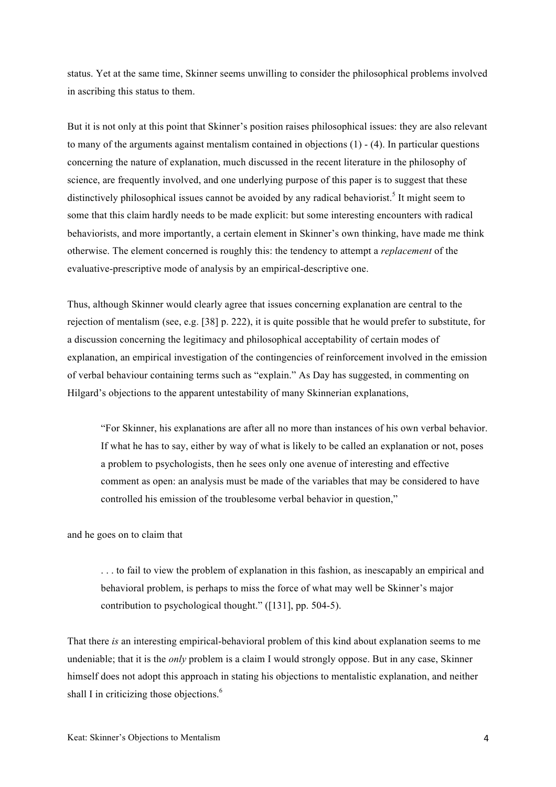status. Yet at the same time, Skinner seems unwilling to consider the philosophical problems involved in ascribing this status to them.

But it is not only at this point that Skinner's position raises philosophical issues: they are also relevant to many of the arguments against mentalism contained in objections (1) - (4). In particular questions concerning the nature of explanation, much discussed in the recent literature in the philosophy of science, are frequently involved, and one underlying purpose of this paper is to suggest that these distinctively philosophical issues cannot be avoided by any radical behaviorist.<sup>5</sup> It might seem to some that this claim hardly needs to be made explicit: but some interesting encounters with radical behaviorists, and more importantly, a certain element in Skinner's own thinking, have made me think otherwise. The element concerned is roughly this: the tendency to attempt a *replacement* of the evaluative-prescriptive mode of analysis by an empirical-descriptive one.

Thus, although Skinner would clearly agree that issues concerning explanation are central to the rejection of mentalism (see, e.g. [38] p. 222), it is quite possible that he would prefer to substitute, for a discussion concerning the legitimacy and philosophical acceptability of certain modes of explanation, an empirical investigation of the contingencies of reinforcement involved in the emission of verbal behaviour containing terms such as "explain." As Day has suggested, in commenting on Hilgard's objections to the apparent untestability of many Skinnerian explanations,

"For Skinner, his explanations are after all no more than instances of his own verbal behavior. If what he has to say, either by way of what is likely to be called an explanation or not, poses a problem to psychologists, then he sees only one avenue of interesting and effective comment as open: an analysis must be made of the variables that may be considered to have controlled his emission of the troublesome verbal behavior in question,"

and he goes on to claim that

. . . to fail to view the problem of explanation in this fashion, as inescapably an empirical and behavioral problem, is perhaps to miss the force of what may well be Skinner's major contribution to psychological thought." ([131], pp. 504-5).

That there *is* an interesting empirical-behavioral problem of this kind about explanation seems to me undeniable; that it is the *only* problem is a claim I would strongly oppose. But in any case, Skinner himself does not adopt this approach in stating his objections to mentalistic explanation, and neither shall I in criticizing those objections.<sup>6</sup>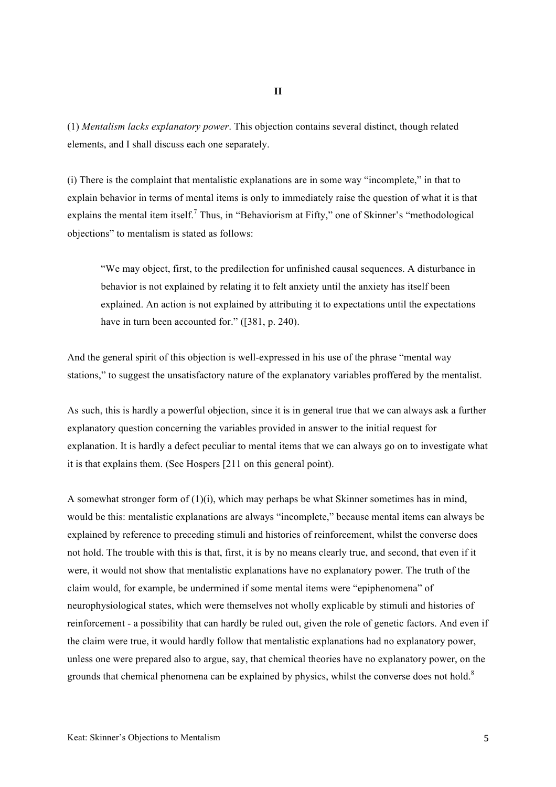(1) *Mentalism lacks explanatory power*. This objection contains several distinct, though related elements, and I shall discuss each one separately.

(i) There is the complaint that mentalistic explanations are in some way "incomplete," in that to explain behavior in terms of mental items is only to immediately raise the question of what it is that explains the mental item itself.<sup>7</sup> Thus, in "Behaviorism at Fifty," one of Skinner's "methodological objections" to mentalism is stated as follows:

"We may object, first, to the predilection for unfinished causal sequences. A disturbance in behavior is not explained by relating it to felt anxiety until the anxiety has itself been explained. An action is not explained by attributing it to expectations until the expectations have in turn been accounted for." ([381, p. 240).

And the general spirit of this objection is well-expressed in his use of the phrase "mental way stations," to suggest the unsatisfactory nature of the explanatory variables proffered by the mentalist.

As such, this is hardly a powerful objection, since it is in general true that we can always ask a further explanatory question concerning the variables provided in answer to the initial request for explanation. It is hardly a defect peculiar to mental items that we can always go on to investigate what it is that explains them. (See Hospers [211 on this general point).

A somewhat stronger form of  $(1)(i)$ , which may perhaps be what Skinner sometimes has in mind, would be this: mentalistic explanations are always "incomplete," because mental items can always be explained by reference to preceding stimuli and histories of reinforcement, whilst the converse does not hold. The trouble with this is that, first, it is by no means clearly true, and second, that even if it were, it would not show that mentalistic explanations have no explanatory power. The truth of the claim would, for example, be undermined if some mental items were "epiphenomena" of neurophysiological states, which were themselves not wholly explicable by stimuli and histories of reinforcement - a possibility that can hardly be ruled out, given the role of genetic factors. And even if the claim were true, it would hardly follow that mentalistic explanations had no explanatory power, unless one were prepared also to argue, say, that chemical theories have no explanatory power, on the grounds that chemical phenomena can be explained by physics, whilst the converse does not hold.<sup>8</sup>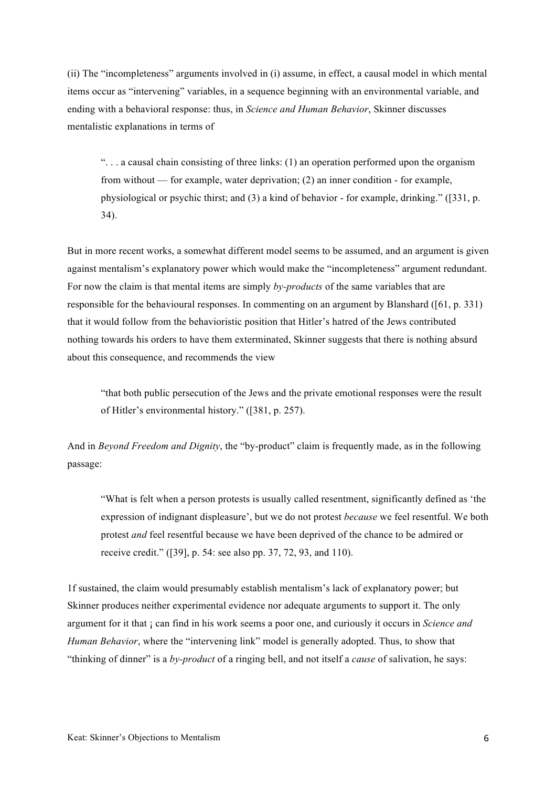(ii) The "incompleteness" arguments involved in (i) assume, in effect, a causal model in which mental items occur as "intervening" variables, in a sequence beginning with an environmental variable, and ending with a behavioral response: thus, in *Science and Human Behavior*, Skinner discusses mentalistic explanations in terms of

 $\ldots$  a causal chain consisting of three links: (1) an operation performed upon the organism from without — for example, water deprivation; (2) an inner condition - for example, physiological or psychic thirst; and (3) a kind of behavior - for example, drinking." ([331, p. 34).

But in more recent works, a somewhat different model seems to be assumed, and an argument is given against mentalism's explanatory power which would make the "incompleteness" argument redundant. For now the claim is that mental items are simply *by-products* of the same variables that are responsible for the behavioural responses. In commenting on an argument by Blanshard ([61, p. 331) that it would follow from the behavioristic position that Hitler's hatred of the Jews contributed nothing towards his orders to have them exterminated, Skinner suggests that there is nothing absurd about this consequence, and recommends the view

"that both public persecution of the Jews and the private emotional responses were the result of Hitler's environmental history." ([381, p. 257).

And in *Beyond Freedom and Dignity*, the "by-product" claim is frequently made, as in the following passage:

"What is felt when a person protests is usually called resentment, significantly defined as 'the expression of indignant displeasure', but we do not protest *because* we feel resentful. We both protest *and* feel resentful because we have been deprived of the chance to be admired or receive credit." ([39], p. 54: see also pp. 37, 72, 93, and 110).

1f sustained, the claim would presumably establish mentalism's lack of explanatory power; but Skinner produces neither experimental evidence nor adequate arguments to support it. The only argument for it that ¡ can find in his work seems a poor one, and curiously it occurs in *Science and Human Behavior*, where the "intervening link" model is generally adopted. Thus, to show that "thinking of dinner" is a *by-product* of a ringing bell, and not itself a *cause* of salivation, he says: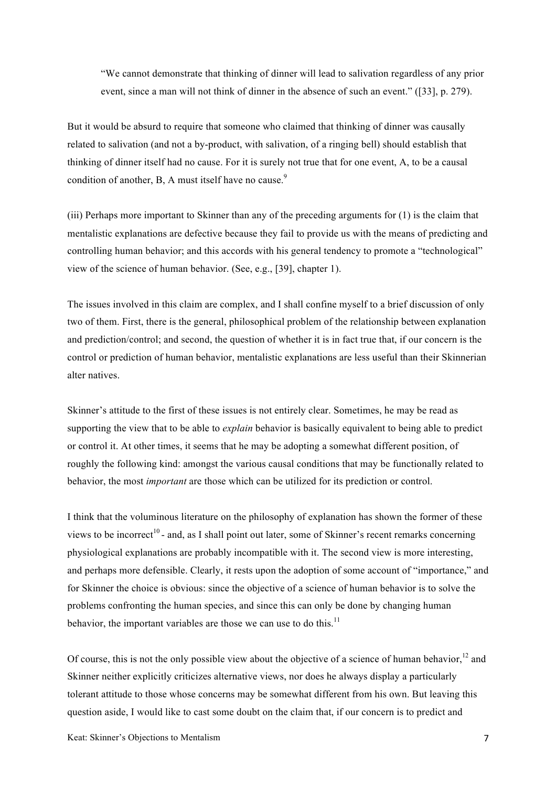"We cannot demonstrate that thinking of dinner will lead to salivation regardless of any prior event, since a man will not think of dinner in the absence of such an event." ([33], p. 279).

But it would be absurd to require that someone who claimed that thinking of dinner was causally related to salivation (and not a by-product, with salivation, of a ringing bell) should establish that thinking of dinner itself had no cause. For it is surely not true that for one event, A, to be a causal condition of another, B, A must itself have no cause.<sup>9</sup>

(iii) Perhaps more important to Skinner than any of the preceding arguments for (1) is the claim that mentalistic explanations are defective because they fail to provide us with the means of predicting and controlling human behavior; and this accords with his general tendency to promote a "technological" view of the science of human behavior. (See, e.g., [39], chapter 1).

The issues involved in this claim are complex, and I shall confine myself to a brief discussion of only two of them. First, there is the general, philosophical problem of the relationship between explanation and prediction/control; and second, the question of whether it is in fact true that, if our concern is the control or prediction of human behavior, mentalistic explanations are less useful than their Skinnerian alter natives.

Skinner's attitude to the first of these issues is not entirely clear. Sometimes, he may be read as supporting the view that to be able to *explain* behavior is basically equivalent to being able to predict or control it. At other times, it seems that he may be adopting a somewhat different position, of roughly the following kind: amongst the various causal conditions that may be functionally related to behavior, the most *important* are those which can be utilized for its prediction or control.

I think that the voluminous literature on the philosophy of explanation has shown the former of these views to be incorrect<sup>10</sup> - and, as I shall point out later, some of Skinner's recent remarks concerning physiological explanations are probably incompatible with it. The second view is more interesting, and perhaps more defensible. Clearly, it rests upon the adoption of some account of "importance," and for Skinner the choice is obvious: since the objective of a science of human behavior is to solve the problems confronting the human species, and since this can only be done by changing human behavior, the important variables are those we can use to do this.<sup>11</sup>

Of course, this is not the only possible view about the objective of a science of human behavior, $12$  and Skinner neither explicitly criticizes alternative views, nor does he always display a particularly tolerant attitude to those whose concerns may be somewhat different from his own. But leaving this question aside, I would like to cast some doubt on the claim that, if our concern is to predict and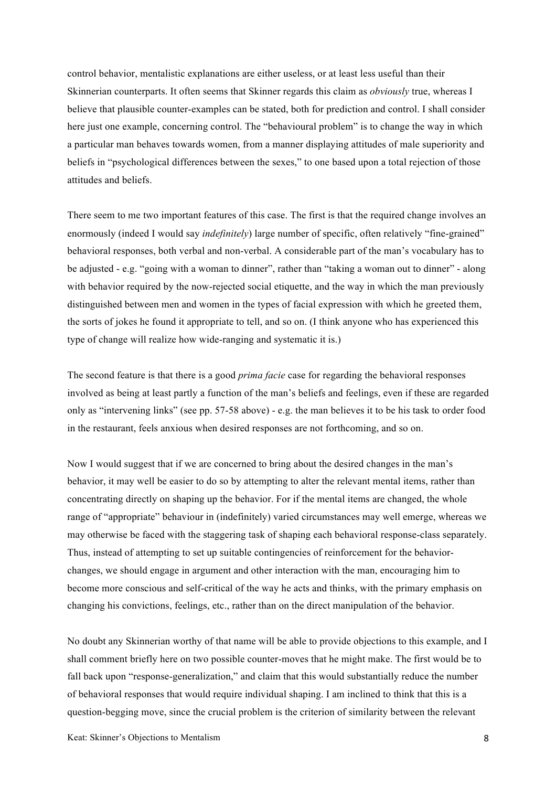control behavior, mentalistic explanations are either useless, or at least less useful than their Skinnerian counterparts. It often seems that Skinner regards this claim as *obviously* true, whereas I believe that plausible counter-examples can be stated, both for prediction and control. I shall consider here just one example, concerning control. The "behavioural problem" is to change the way in which a particular man behaves towards women, from a manner displaying attitudes of male superiority and beliefs in "psychological differences between the sexes," to one based upon a total rejection of those attitudes and beliefs.

There seem to me two important features of this case. The first is that the required change involves an enormously (indeed I would say *indefinitely*) large number of specific, often relatively "fine-grained" behavioral responses, both verbal and non-verbal. A considerable part of the man's vocabulary has to be adjusted - e.g. "going with a woman to dinner", rather than "taking a woman out to dinner" - along with behavior required by the now-rejected social etiquette, and the way in which the man previously distinguished between men and women in the types of facial expression with which he greeted them, the sorts of jokes he found it appropriate to tell, and so on. (I think anyone who has experienced this type of change will realize how wide-ranging and systematic it is.)

The second feature is that there is a good *prima facie* case for regarding the behavioral responses involved as being at least partly a function of the man's beliefs and feelings, even if these are regarded only as "intervening links" (see pp. 57-58 above) - e.g. the man believes it to be his task to order food in the restaurant, feels anxious when desired responses are not forthcoming, and so on.

Now I would suggest that if we are concerned to bring about the desired changes in the man's behavior, it may well be easier to do so by attempting to alter the relevant mental items, rather than concentrating directly on shaping up the behavior. For if the mental items are changed, the whole range of "appropriate" behaviour in (indefinitely) varied circumstances may well emerge, whereas we may otherwise be faced with the staggering task of shaping each behavioral response-class separately. Thus, instead of attempting to set up suitable contingencies of reinforcement for the behaviorchanges, we should engage in argument and other interaction with the man, encouraging him to become more conscious and self-critical of the way he acts and thinks, with the primary emphasis on changing his convictions, feelings, etc., rather than on the direct manipulation of the behavior.

No doubt any Skinnerian worthy of that name will be able to provide objections to this example, and I shall comment briefly here on two possible counter-moves that he might make. The first would be to fall back upon "response-generalization," and claim that this would substantially reduce the number of behavioral responses that would require individual shaping. I am inclined to think that this is a question-begging move, since the crucial problem is the criterion of similarity between the relevant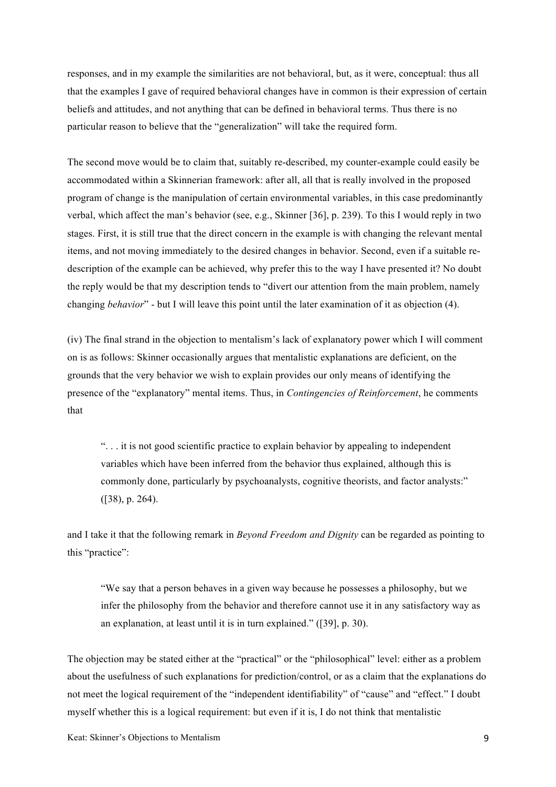responses, and in my example the similarities are not behavioral, but, as it were, conceptual: thus all that the examples I gave of required behavioral changes have in common is their expression of certain beliefs and attitudes, and not anything that can be defined in behavioral terms. Thus there is no particular reason to believe that the "generalization" will take the required form.

The second move would be to claim that, suitably re-described, my counter-example could easily be accommodated within a Skinnerian framework: after all, all that is really involved in the proposed program of change is the manipulation of certain environmental variables, in this case predominantly verbal, which affect the man's behavior (see, e.g., Skinner [36], p. 239). To this I would reply in two stages. First, it is still true that the direct concern in the example is with changing the relevant mental items, and not moving immediately to the desired changes in behavior. Second, even if a suitable redescription of the example can be achieved, why prefer this to the way I have presented it? No doubt the reply would be that my description tends to "divert our attention from the main problem, namely changing *behavior*" - but I will leave this point until the later examination of it as objection (4).

(iv) The final strand in the objection to mentalism's lack of explanatory power which I will comment on is as follows: Skinner occasionally argues that mentalistic explanations are deficient, on the grounds that the very behavior we wish to explain provides our only means of identifying the presence of the "explanatory" mental items. Thus, in *Contingencies of Reinforcement*, he comments that

". . . it is not good scientific practice to explain behavior by appealing to independent variables which have been inferred from the behavior thus explained, although this is commonly done, particularly by psychoanalysts, cognitive theorists, and factor analysts:" ([38), p. 264).

and I take it that the following remark in *Beyond Freedom and Dignity* can be regarded as pointing to this "practice":

"We say that a person behaves in a given way because he possesses a philosophy, but we infer the philosophy from the behavior and therefore cannot use it in any satisfactory way as an explanation, at least until it is in turn explained." ([39], p. 30).

The objection may be stated either at the "practical" or the "philosophical" level: either as a problem about the usefulness of such explanations for prediction/control, or as a claim that the explanations do not meet the logical requirement of the "independent identifiability" of "cause" and "effect." I doubt myself whether this is a logical requirement: but even if it is, I do not think that mentalistic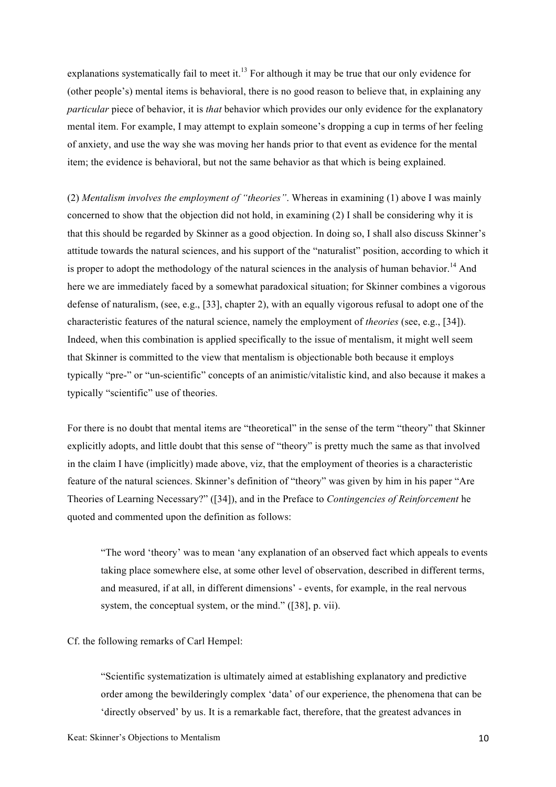explanations systematically fail to meet it.<sup>13</sup> For although it may be true that our only evidence for (other people's) mental items is behavioral, there is no good reason to believe that, in explaining any *particular* piece of behavior, it is *that* behavior which provides our only evidence for the explanatory mental item. For example, I may attempt to explain someone's dropping a cup in terms of her feeling of anxiety, and use the way she was moving her hands prior to that event as evidence for the mental item; the evidence is behavioral, but not the same behavior as that which is being explained.

(2) *Mentalism involves the employment of "theories"*. Whereas in examining (1) above I was mainly concerned to show that the objection did not hold, in examining (2) I shall be considering why it is that this should be regarded by Skinner as a good objection. In doing so, I shall also discuss Skinner's attitude towards the natural sciences, and his support of the "naturalist" position, according to which it is proper to adopt the methodology of the natural sciences in the analysis of human behavior.<sup>14</sup> And here we are immediately faced by a somewhat paradoxical situation; for Skinner combines a vigorous defense of naturalism, (see, e.g., [33], chapter 2), with an equally vigorous refusal to adopt one of the characteristic features of the natural science, namely the employment of *theories* (see, e.g., [34]). Indeed, when this combination is applied specifically to the issue of mentalism, it might well seem that Skinner is committed to the view that mentalism is objectionable both because it employs typically "pre-" or "un-scientific" concepts of an animistic/vitalistic kind, and also because it makes a typically "scientific" use of theories.

For there is no doubt that mental items are "theoretical" in the sense of the term "theory" that Skinner explicitly adopts, and little doubt that this sense of "theory" is pretty much the same as that involved in the claim I have (implicitly) made above, viz, that the employment of theories is a characteristic feature of the natural sciences. Skinner's definition of "theory" was given by him in his paper "Are Theories of Learning Necessary?" ([34]), and in the Preface to *Contingencies of Reinforcement* he quoted and commented upon the definition as follows:

"The word 'theory' was to mean 'any explanation of an observed fact which appeals to events taking place somewhere else, at some other level of observation, described in different terms, and measured, if at all, in different dimensions' - events, for example, in the real nervous system, the conceptual system, or the mind." ([38], p. vii).

Cf. the following remarks of Carl Hempel:

"Scientific systematization is ultimately aimed at establishing explanatory and predictive order among the bewilderingly complex 'data' of our experience, the phenomena that can be 'directly observed' by us. It is a remarkable fact, therefore, that the greatest advances in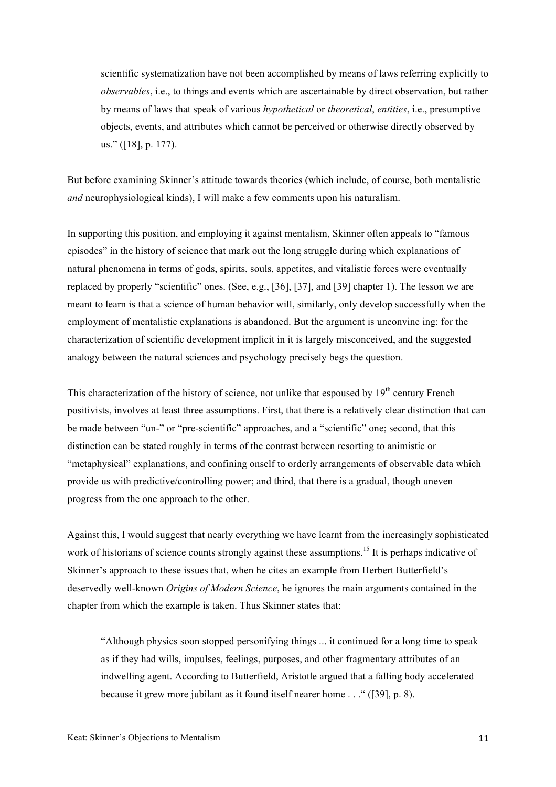scientific systematization have not been accomplished by means of laws referring explicitly to *observables*, i.e., to things and events which are ascertainable by direct observation, but rather by means of laws that speak of various *hypothetical* or *theoretical*, *entities*, i.e., presumptive objects, events, and attributes which cannot be perceived or otherwise directly observed by us." ([18], p. 177).

But before examining Skinner's attitude towards theories (which include, of course, both mentalistic *and* neurophysiological kinds), I will make a few comments upon his naturalism.

In supporting this position, and employing it against mentalism, Skinner often appeals to "famous episodes" in the history of science that mark out the long struggle during which explanations of natural phenomena in terms of gods, spirits, souls, appetites, and vitalistic forces were eventually replaced by properly "scientific" ones. (See, e.g., [36], [37], and [39] chapter 1). The lesson we are meant to learn is that a science of human behavior will, similarly, only develop successfully when the employment of mentalistic explanations is abandoned. But the argument is unconvinc ing: for the characterization of scientific development implicit in it is largely misconceived, and the suggested analogy between the natural sciences and psychology precisely begs the question.

This characterization of the history of science, not unlike that espoused by  $19<sup>th</sup>$  century French positivists, involves at least three assumptions. First, that there is a relatively clear distinction that can be made between "un-" or "pre-scientific" approaches, and a "scientific" one; second, that this distinction can be stated roughly in terms of the contrast between resorting to animistic or "metaphysical" explanations, and confining onself to orderly arrangements of observable data which provide us with predictive/controlling power; and third, that there is a gradual, though uneven progress from the one approach to the other.

Against this, I would suggest that nearly everything we have learnt from the increasingly sophisticated work of historians of science counts strongly against these assumptions.<sup>15</sup> It is perhaps indicative of Skinner's approach to these issues that, when he cites an example from Herbert Butterfield's deservedly well-known *Origins of Modern Science*, he ignores the main arguments contained in the chapter from which the example is taken. Thus Skinner states that:

"Although physics soon stopped personifying things ... it continued for a long time to speak as if they had wills, impulses, feelings, purposes, and other fragmentary attributes of an indwelling agent. According to Butterfield, Aristotle argued that a falling body accelerated because it grew more jubilant as it found itself nearer home . . ." ([39], p. 8).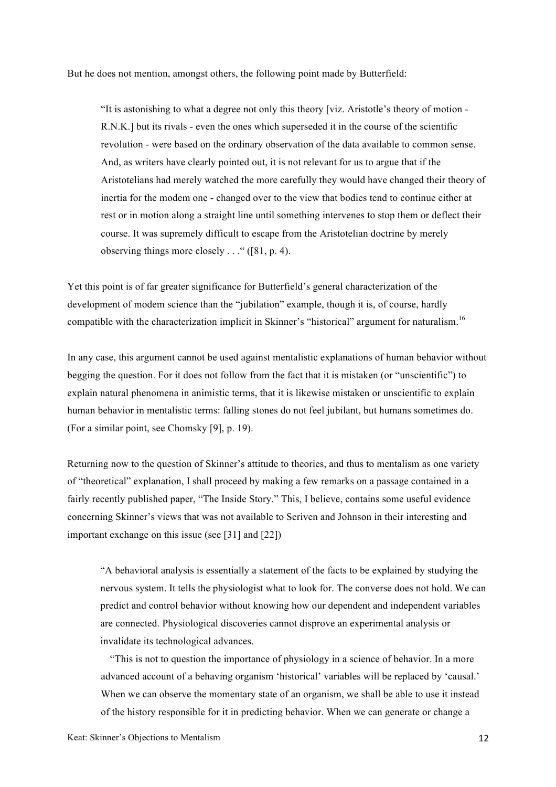But he does not mention, amongst others, the following point made by Butterfield:

"It is astonishing to what a degree not only this theory [viz. Aristotle's theory of motion - R.N.K.] but its rivals - even the ones which superseded it in the course of the scientific revolution - were based on the ordinary observation of the data available to common sense. And, as writers have clearly pointed out, it is not relevant for us to argue that if the Aristotelians had merely watched the more carefully they would have changed their theory of inertia for the modem one - changed over to the view that bodies tend to continue either at rest or in motion along a straight line until something intervenes to stop them or deflect their course. It was supremely difficult to escape from the Aristotelian doctrine by merely observing things more closely  $\dots$  " ([81, p. 4).

Yet this point is of far greater significance for Butterfield's general characterization of the development of modem science than the "jubilation" example, though it is, of course, hardly compatible with the characterization implicit in Skinner's "historical" argument for naturalism.<sup>16</sup>

In any case, this argument cannot be used against mentalistic explanations of human behavior without begging the question. For it does not follow from the fact that it is mistaken (or "unscientific") to explain natural phenomena in animistic terms, that it is likewise mistaken or unscientific to explain human behavior in mentalistic terms: falling stones do not feel jubilant, but humans sometimes do. (For a similar point, see Chomsky [9], p. 19).

Returning now to the question of Skinner's attitude to theories, and thus to mentalism as one variety of "theoretical" explanation, I shall proceed by making a few remarks on a passage contained in a fairly recently published paper, "The Inside Story." This, I believe, contains some useful evidence concerning Skinner's views that was not available to Scriven and Johnson in their interesting and important exchange on this issue (see [31] and [22])

"A behavioral analysis is essentially a statement of the facts to be explained by studying the nervous system. It tells the physiologist what to look for. The converse does not hold. We can predict and control behavior without knowing how our dependent and independent variables are connected. Physiological discoveries cannot disprove an experimental analysis or invalidate its technological advances.

"This is not to question the importance of physiology in a science of behavior. In a more advanced account of a behaving organism 'historical' variables will be replaced by 'causal.' When we can observe the momentary state of an organism, we shall be able to use it instead of the history responsible for it in predicting behavior. When we can generate or change a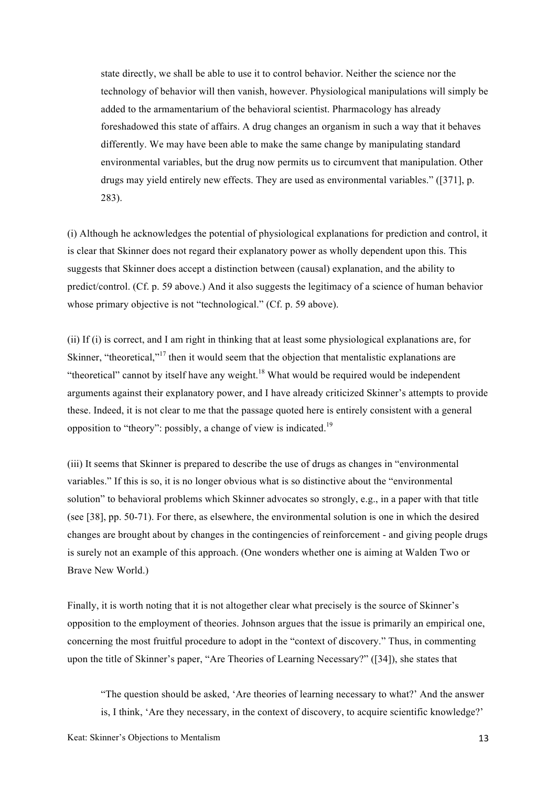state directly, we shall be able to use it to control behavior. Neither the science nor the technology of behavior will then vanish, however. Physiological manipulations will simply be added to the armamentarium of the behavioral scientist. Pharmacology has already foreshadowed this state of affairs. A drug changes an organism in such a way that it behaves differently. We may have been able to make the same change by manipulating standard environmental variables, but the drug now permits us to circumvent that manipulation. Other drugs may yield entirely new effects. They are used as environmental variables." ([371], p. 283).

(i) Although he acknowledges the potential of physiological explanations for prediction and control, it is clear that Skinner does not regard their explanatory power as wholly dependent upon this. This suggests that Skinner does accept a distinction between (causal) explanation, and the ability to predict/control. (Cf. p. 59 above.) And it also suggests the legitimacy of a science of human behavior whose primary objective is not "technological." (Cf. p. 59 above).

(ii) If (i) is correct, and I am right in thinking that at least some physiological explanations are, for Skinner, "theoretical,"<sup>17</sup> then it would seem that the objection that mentalistic explanations are "theoretical" cannot by itself have any weight.<sup>18</sup> What would be required would be independent arguments against their explanatory power, and I have already criticized Skinner's attempts to provide these. Indeed, it is not clear to me that the passage quoted here is entirely consistent with a general opposition to "theory": possibly, a change of view is indicated.<sup>19</sup>

(iii) It seems that Skinner is prepared to describe the use of drugs as changes in "environmental variables." If this is so, it is no longer obvious what is so distinctive about the "environmental solution" to behavioral problems which Skinner advocates so strongly, e.g., in a paper with that title (see [38], pp. 50-71). For there, as elsewhere, the environmental solution is one in which the desired changes are brought about by changes in the contingencies of reinforcement - and giving people drugs is surely not an example of this approach. (One wonders whether one is aiming at Walden Two or Brave New World.)

Finally, it is worth noting that it is not altogether clear what precisely is the source of Skinner's opposition to the employment of theories. Johnson argues that the issue is primarily an empirical one, concerning the most fruitful procedure to adopt in the "context of discovery." Thus, in commenting upon the title of Skinner's paper, "Are Theories of Learning Necessary?" ([34]), she states that

"The question should be asked, 'Are theories of learning necessary to what?' And the answer is, I think, 'Are they necessary, in the context of discovery, to acquire scientific knowledge?'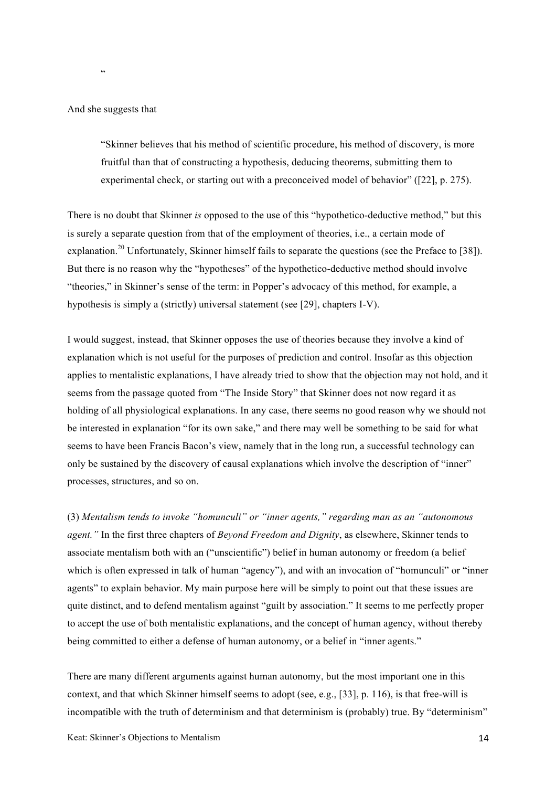And she suggests that

<u>،</u>

"Skinner believes that his method of scientific procedure, his method of discovery, is more fruitful than that of constructing a hypothesis, deducing theorems, submitting them to experimental check, or starting out with a preconceived model of behavior" ([22], p. 275).

There is no doubt that Skinner *is* opposed to the use of this "hypothetico-deductive method," but this is surely a separate question from that of the employment of theories, i.e., a certain mode of explanation.<sup>20</sup> Unfortunately, Skinner himself fails to separate the questions (see the Preface to [38]). But there is no reason why the "hypotheses" of the hypothetico-deductive method should involve "theories," in Skinner's sense of the term: in Popper's advocacy of this method, for example, a hypothesis is simply a (strictly) universal statement (see [29], chapters I-V).

I would suggest, instead, that Skinner opposes the use of theories because they involve a kind of explanation which is not useful for the purposes of prediction and control. Insofar as this objection applies to mentalistic explanations, I have already tried to show that the objection may not hold, and it seems from the passage quoted from "The Inside Story" that Skinner does not now regard it as holding of all physiological explanations. In any case, there seems no good reason why we should not be interested in explanation "for its own sake," and there may well be something to be said for what seems to have been Francis Bacon's view, namely that in the long run, a successful technology can only be sustained by the discovery of causal explanations which involve the description of "inner" processes, structures, and so on.

(3) *Mentalism tends to invoke "homunculi" or "inner agents," regarding man as an "autonomous agent."* In the first three chapters of *Beyond Freedom and Dignity*, as elsewhere, Skinner tends to associate mentalism both with an ("unscientific") belief in human autonomy or freedom (a belief which is often expressed in talk of human "agency"), and with an invocation of "homunculi" or "inner agents" to explain behavior. My main purpose here will be simply to point out that these issues are quite distinct, and to defend mentalism against "guilt by association." It seems to me perfectly proper to accept the use of both mentalistic explanations, and the concept of human agency, without thereby being committed to either a defense of human autonomy, or a belief in "inner agents."

There are many different arguments against human autonomy, but the most important one in this context, and that which Skinner himself seems to adopt (see, e.g., [33], p. 116), is that free-will is incompatible with the truth of determinism and that determinism is (probably) true. By "determinism"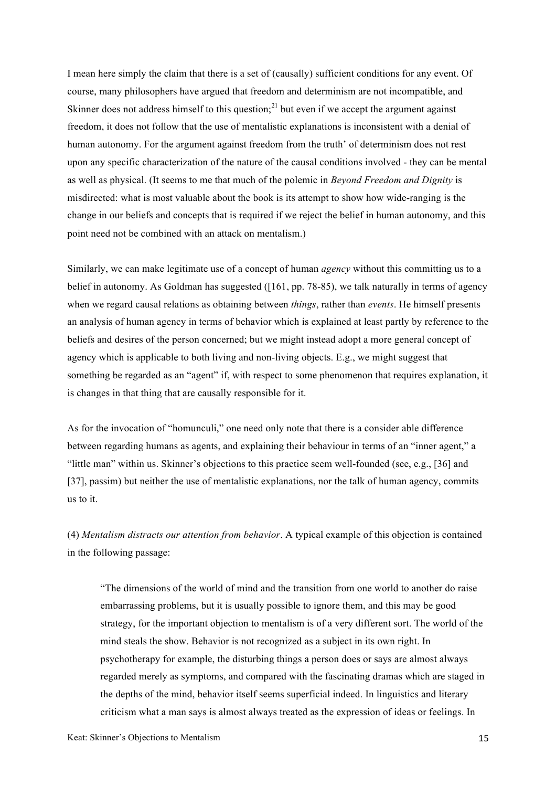I mean here simply the claim that there is a set of (causally) sufficient conditions for any event. Of course, many philosophers have argued that freedom and determinism are not incompatible, and Skinner does not address himself to this question;<sup>21</sup> but even if we accept the argument against freedom, it does not follow that the use of mentalistic explanations is inconsistent with a denial of human autonomy. For the argument against freedom from the truth' of determinism does not rest upon any specific characterization of the nature of the causal conditions involved - they can be mental as well as physical. (It seems to me that much of the polemic in *Beyond Freedom and Dignity* is misdirected: what is most valuable about the book is its attempt to show how wide-ranging is the change in our beliefs and concepts that is required if we reject the belief in human autonomy, and this point need not be combined with an attack on mentalism.)

Similarly, we can make legitimate use of a concept of human *agency* without this committing us to a belief in autonomy. As Goldman has suggested ([161, pp. 78-85), we talk naturally in terms of agency when we regard causal relations as obtaining between *things*, rather than *events*. He himself presents an analysis of human agency in terms of behavior which is explained at least partly by reference to the beliefs and desires of the person concerned; but we might instead adopt a more general concept of agency which is applicable to both living and non-living objects. E.g., we might suggest that something be regarded as an "agent" if, with respect to some phenomenon that requires explanation, it is changes in that thing that are causally responsible for it.

As for the invocation of "homunculi," one need only note that there is a consider able difference between regarding humans as agents, and explaining their behaviour in terms of an "inner agent," a "little man" within us. Skinner's objections to this practice seem well-founded (see, e.g., [36] and [37], passim) but neither the use of mentalistic explanations, nor the talk of human agency, commits us to it.

(4) *Mentalism distracts our attention from behavior*. A typical example of this objection is contained in the following passage:

"The dimensions of the world of mind and the transition from one world to another do raise embarrassing problems, but it is usually possible to ignore them, and this may be good strategy, for the important objection to mentalism is of a very different sort. The world of the mind steals the show. Behavior is not recognized as a subject in its own right. In psychotherapy for example, the disturbing things a person does or says are almost always regarded merely as symptoms, and compared with the fascinating dramas which are staged in the depths of the mind, behavior itself seems superficial indeed. In linguistics and literary criticism what a man says is almost always treated as the expression of ideas or feelings. In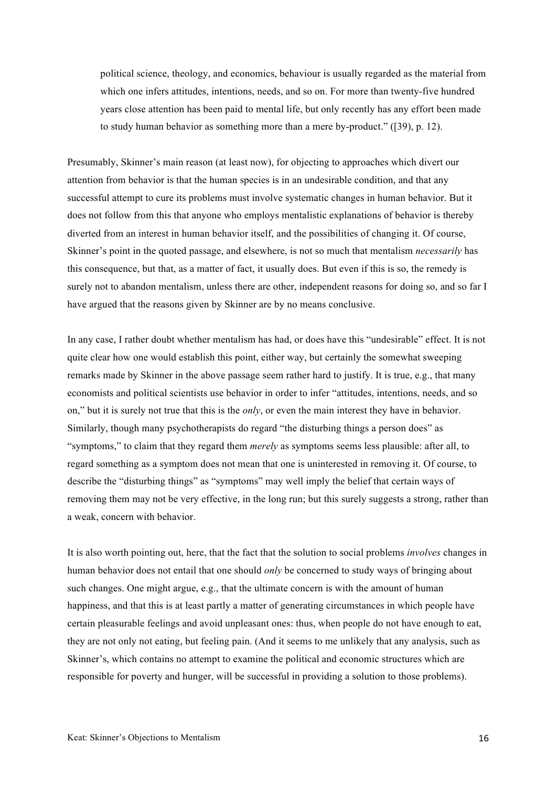political science, theology, and economics, behaviour is usually regarded as the material from which one infers attitudes, intentions, needs, and so on. For more than twenty-five hundred years close attention has been paid to mental life, but only recently has any effort been made to study human behavior as something more than a mere by-product." ([39), p. 12).

Presumably, Skinner's main reason (at least now), for objecting to approaches which divert our attention from behavior is that the human species is in an undesirable condition, and that any successful attempt to cure its problems must involve systematic changes in human behavior. But it does not follow from this that anyone who employs mentalistic explanations of behavior is thereby diverted from an interest in human behavior itself, and the possibilities of changing it. Of course, Skinner's point in the quoted passage, and elsewhere, is not so much that mentalism *necessarily* has this consequence, but that, as a matter of fact, it usually does. But even if this is so, the remedy is surely not to abandon mentalism, unless there are other, independent reasons for doing so, and so far I have argued that the reasons given by Skinner are by no means conclusive.

In any case, I rather doubt whether mentalism has had, or does have this "undesirable" effect. It is not quite clear how one would establish this point, either way, but certainly the somewhat sweeping remarks made by Skinner in the above passage seem rather hard to justify. It is true, e.g., that many economists and political scientists use behavior in order to infer "attitudes, intentions, needs, and so on," but it is surely not true that this is the *only*, or even the main interest they have in behavior. Similarly, though many psychotherapists do regard "the disturbing things a person does" as "symptoms," to claim that they regard them *merely* as symptoms seems less plausible: after all, to regard something as a symptom does not mean that one is uninterested in removing it. Of course, to describe the "disturbing things" as "symptoms" may well imply the belief that certain ways of removing them may not be very effective, in the long run; but this surely suggests a strong, rather than a weak, concern with behavior.

It is also worth pointing out, here, that the fact that the solution to social problems *involves* changes in human behavior does not entail that one should *only* be concerned to study ways of bringing about such changes. One might argue, e.g., that the ultimate concern is with the amount of human happiness, and that this is at least partly a matter of generating circumstances in which people have certain pleasurable feelings and avoid unpleasant ones: thus, when people do not have enough to eat, they are not only not eating, but feeling pain. (And it seems to me unlikely that any analysis, such as Skinner's, which contains no attempt to examine the political and economic structures which are responsible for poverty and hunger, will be successful in providing a solution to those problems).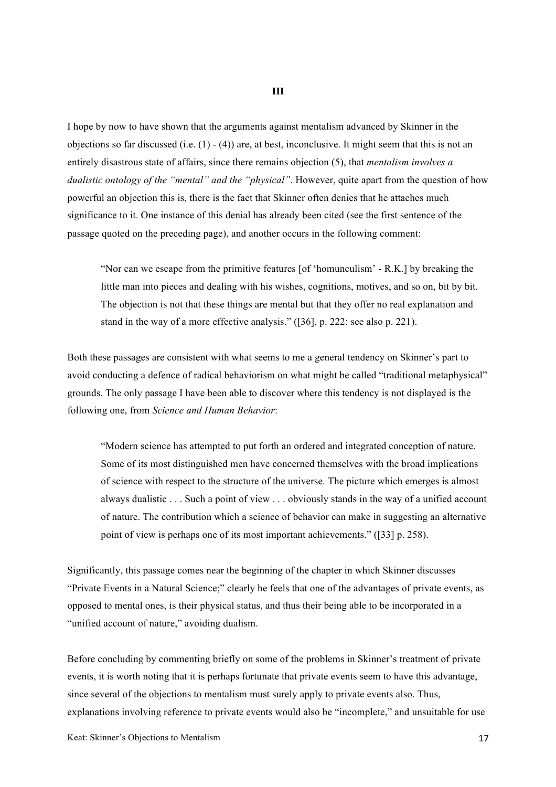I hope by now to have shown that the arguments against mentalism advanced by Skinner in the objections so far discussed (i.e.  $(1) - (4)$ ) are, at best, inconclusive. It might seem that this is not an entirely disastrous state of affairs, since there remains objection (5), that *mentalism involves a dualistic ontology of the "mental" and the "physical"*. However, quite apart from the question of how powerful an objection this is, there is the fact that Skinner often denies that he attaches much significance to it. One instance of this denial has already been cited (see the first sentence of the passage quoted on the preceding page), and another occurs in the following comment:

"Nor can we escape from the primitive features [of 'homunculism' - R.K.] by breaking the little man into pieces and dealing with his wishes, cognitions, motives, and so on, bit by bit. The objection is not that these things are mental but that they offer no real explanation and stand in the way of a more effective analysis." ([36], p. 222: see also p. 221).

Both these passages are consistent with what seems to me a general tendency on Skinner's part to avoid conducting a defence of radical behaviorism on what might be called "traditional metaphysical" grounds. The only passage I have been able to discover where this tendency is not displayed is the following one, from *Science and Human Behavior*:

"Modern science has attempted to put forth an ordered and integrated conception of nature. Some of its most distinguished men have concerned themselves with the broad implications of science with respect to the structure of the universe. The picture which emerges is almost always dualistic . . . Such a point of view . . . obviously stands in the way of a unified account of nature. The contribution which a science of behavior can make in suggesting an alternative point of view is perhaps one of its most important achievements." ([33] p. 258).

Significantly, this passage comes near the beginning of the chapter in which Skinner discusses "Private Events in a Natural Science;" clearly he feels that one of the advantages of private events, as opposed to mental ones, is their physical status, and thus their being able to be incorporated in a "unified account of nature," avoiding dualism.

Before concluding by commenting briefly on some of the problems in Skinner's treatment of private events, it is worth noting that it is perhaps fortunate that private events seem to have this advantage, since several of the objections to mentalism must surely apply to private events also. Thus, explanations involving reference to private events would also be "incomplete," and unsuitable for use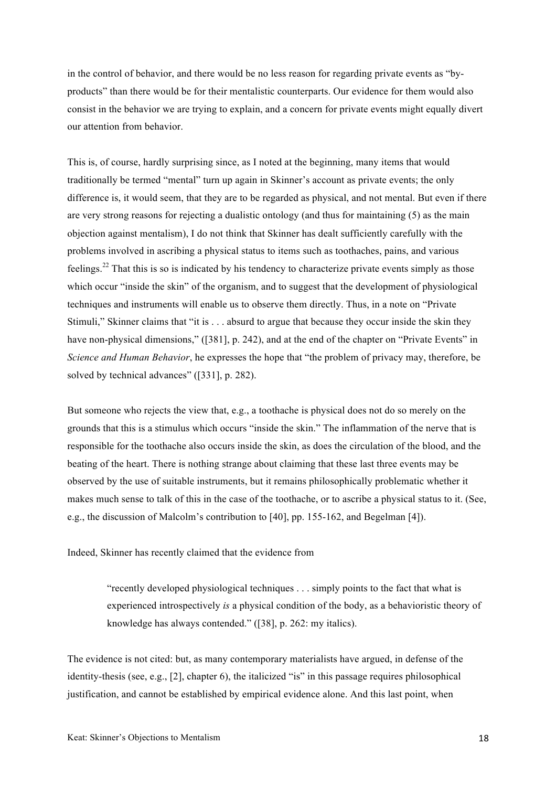in the control of behavior, and there would be no less reason for regarding private events as "byproducts" than there would be for their mentalistic counterparts. Our evidence for them would also consist in the behavior we are trying to explain, and a concern for private events might equally divert our attention from behavior.

This is, of course, hardly surprising since, as I noted at the beginning, many items that would traditionally be termed "mental" turn up again in Skinner's account as private events; the only difference is, it would seem, that they are to be regarded as physical, and not mental. But even if there are very strong reasons for rejecting a dualistic ontology (and thus for maintaining (5) as the main objection against mentalism), I do not think that Skinner has dealt sufficiently carefully with the problems involved in ascribing a physical status to items such as toothaches, pains, and various feelings.22 That this is so is indicated by his tendency to characterize private events simply as those which occur "inside the skin" of the organism, and to suggest that the development of physiological techniques and instruments will enable us to observe them directly. Thus, in a note on "Private Stimuli," Skinner claims that "it is . . . absurd to argue that because they occur inside the skin they have non-physical dimensions," ([381], p. 242), and at the end of the chapter on "Private Events" in *Science and Human Behavior*, he expresses the hope that "the problem of privacy may, therefore, be solved by technical advances" ([331], p. 282).

But someone who rejects the view that, e.g., a toothache is physical does not do so merely on the grounds that this is a stimulus which occurs "inside the skin." The inflammation of the nerve that is responsible for the toothache also occurs inside the skin, as does the circulation of the blood, and the beating of the heart. There is nothing strange about claiming that these last three events may be observed by the use of suitable instruments, but it remains philosophically problematic whether it makes much sense to talk of this in the case of the toothache, or to ascribe a physical status to it. (See, e.g., the discussion of Malcolm's contribution to [40], pp. 155-162, and Begelman [4]).

Indeed, Skinner has recently claimed that the evidence from

"recently developed physiological techniques . . . simply points to the fact that what is experienced introspectively *is* a physical condition of the body, as a behavioristic theory of knowledge has always contended." ([38], p. 262: my italics).

The evidence is not cited: but, as many contemporary materialists have argued, in defense of the identity-thesis (see, e.g., [2], chapter 6), the italicized "is" in this passage requires philosophical justification, and cannot be established by empirical evidence alone. And this last point, when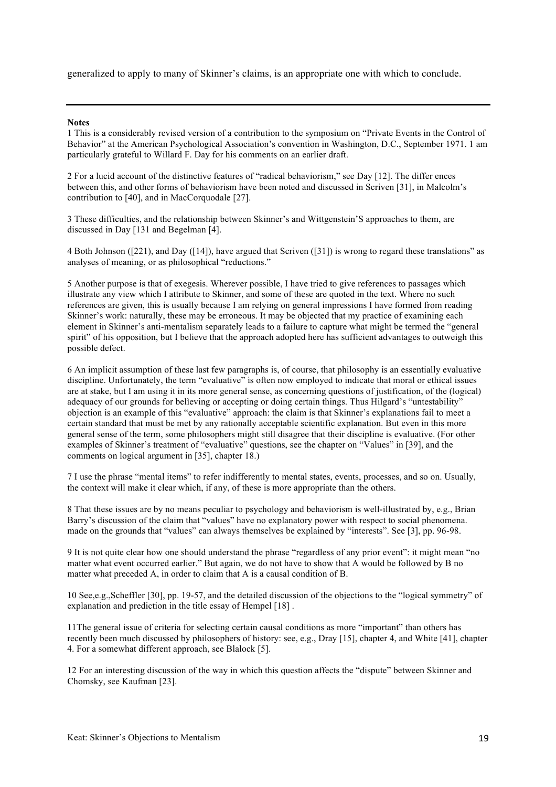generalized to apply to many of Skinner's claims, is an appropriate one with which to conclude.

## **Notes**

1 This is a considerably revised version of a contribution to the symposium on "Private Events in the Control of Behavior" at the American Psychological Association's convention in Washington, D.C., September 1971. 1 am particularly grateful to Willard F. Day for his comments on an earlier draft.

2 For a lucid account of the distinctive features of "radical behaviorism," see Day [12]. The differ ences between this, and other forms of behaviorism have been noted and discussed in Scriven [31], in Malcolm's contribution to [40], and in MacCorquodale [27].

3 These difficulties, and the relationship between Skinner's and Wittgenstein'S approaches to them, are discussed in Day [131 and Begelman [4].

4 Both Johnson ([221), and Day ([14]), have argued that Scriven ([31]) is wrong to regard these translations" as analyses of meaning, or as philosophical "reductions."

5 Another purpose is that of exegesis. Wherever possible, I have tried to give references to passages which illustrate any view which I attribute to Skinner, and some of these are quoted in the text. Where no such references are given, this is usually because I am relying on general impressions I have formed from reading Skinner's work: naturally, these may be erroneous. It may be objected that my practice of examining each element in Skinner's anti-mentalism separately leads to a failure to capture what might be termed the "general spirit" of his opposition, but I believe that the approach adopted here has sufficient advantages to outweigh this possible defect.

6 An implicit assumption of these last few paragraphs is, of course, that philosophy is an essentially evaluative discipline. Unfortunately, the term "evaluative" ìs often now employed to indicate that moral or ethical issues are at stake, but I am using it in its more general sense, as concerning questions of justification, of the (logical) adequacy of our grounds for belìeving or accepting or doing certain things. Thus Hilgard's "untestability" objection is an example of this "evaluative" approach: the claim is that Skinner's explanations fail to meet a certain standard that must be met by any rationally acceptable scientific explanation. But even in this more general sense of the term, some philosophers might still disagree that their discipline is evaluative. (For other examples of Skinner's treatment of "evaluative" questions, see the chapter on "Values" in [39], and the comments on logical argument in [35], chapter 18.)

7 I use the phrase "mental items" to refer indifferently to mental states, events, processes, and so on. Usually, the context will make it clear which, if any, of these is more appropriate than the others.

8 That these issues are by no means peculiar to psychology and behaviorism is well-illustrated by, e.g., Brian Barry's discussion of the claim that "values" have no explanatory power with respect to social phenomena. made on the grounds that "values" can always themselves be explained by "interests". See [3], pp. 96-98.

9 It is not quite clear how one should understand the phrase "regardless of any prior event": it might mean "no matter what event occurred earlier." But again, we do not have to show that A would be followed by B no matter what preceded A, in order to claim that A is a causal condition of B.

10 See,e.g.,Scheffler [30], pp. 19-57, and the detailed discussion of the objections to the "logical symmetry" of explanation and prediction in the title essay of Hempel [18] .

11The general issue of criteria for selecting certain causal conditions as more "important" than others has recently been much discussed by philosophers of history: see, e.g., Dray [15], chapter 4, and White [41], chapter 4. For a somewhat different approach, see Blalock [5].

12 For an interesting discussion of the way in which this question affects the "dispute" between Skinner and Chomsky, see Kaufman [23].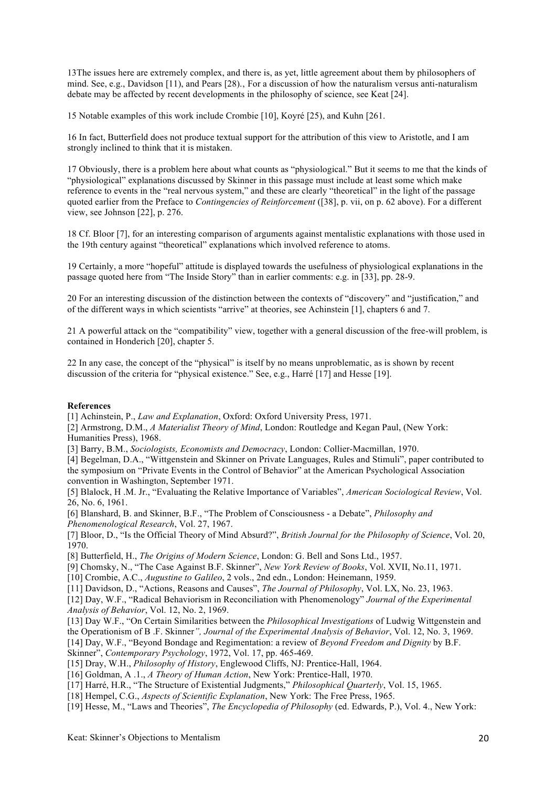13The issues here are extremely complex, and there is, as yet, little agreement about them by philosophers of mind. See, e.g., Davidson  $[11]$ , and Pears  $[28]$ ., For a discussion of how the naturalism versus anti-naturalism debate may be affected by recent developments in the philosophy of science, see Keat [24].

15 Notable examples of this work include Crombie [10], Koyré [25), and Kuhn [261.

16 In fact, Butterfield does not produce textual support for the attribution of this view to Aristotle, and I am strongly inclined to think that it is mistaken.

17 Obviously, there is a problem here about what counts as "physiological." But it seems to me that the kinds of "physiological" explanations discussed by Skinner in this passage must include at least some which make reference to events in the "real nervous system," and these are clearly "theoretical" in the light of the passage quoted earlier from the Preface to *Contingencies of Reinforcement* ([38], p. vii, on p. 62 above). For a different view, see Johnson [22], p. 276.

18 Cf. Bloor [7], for an interesting comparison of arguments against mentalistic explanations with those used in the 19th century against "theoretical" explanations which involved reference to atoms.

19 Certainly, a more "hopeful" attitude is displayed towards the usefulness of physiological explanations in the passage quoted here from "The Inside Story" than in earlier comments: e.g. in [33], pp. 28-9.

20 For an interesting discussion of the distinction between the contexts of "discovery" and "justification," and of the different ways in which scientists "arrive" at theories, see Achinstein [1], chapters 6 and 7.

21 A powerful attack on the "compatibility" view, together with a general discussion of the free-will problem, is contained in Honderich [20], chapter 5.

22 In any case, the concept of the "physical" is itself by no means unproblematic, as is shown by recent discussion of the criteria for "physical existence." See, e.g., Harré [17] and Hesse [19].

## **References**

[1] Achinstein, P., *Law and Explanation*, Oxford: Oxford University Press, 1971.

[2] Armstrong, D.M., *A Materialist Theory of Mind*, London: Routledge and Kegan Paul, (New York: Humanities Press), 1968.

[3] Barry, B.M., *Sociologists, Economists and Democracy*, London: Collier-Macmillan, 1970.

[4] Begelman, D.A., "Wittgenstein and Skinner on Private Languages, Rules and Stimuli", paper contributed to the symposium on "Private Events in the Control of Behavior" at the American Psychological Association convention in Washington, September 1971.

[5] Blalock, H .M. Jr., "Evaluating the Relative Importance of Variables", *American Sociological Review*, Vol. 26, No. 6, 1961.

[6] Blanshard, B. and Skinner, B.F., "The Problem of Consciousness - a Debate", *Philosophy and Phenomenological Research*, Vol. 27, 1967.

[7] Bloor, D., "Is the Official Theory of Mind Absurd?", *British Journal for the Philosophy of Science*, Vol. 20, 1970.

[8] Butterfield, H., *The Origins of Modern Science*, London: G. Bell and Sons Ltd., 1957.

[9] Chomsky, N., "The Case Against B.F. Skinner", *New York Review of Books*, Vol. XVII, No.11, 1971.

[10] Crombie, A.C., *Augustine to Galileo*, 2 vols., 2nd edn., London: Heinemann, 1959.

[11] Davidson, D., "Actions, Reasons and Causes", *The Journal of Philosophy*, Vol. LX, No. 23, 1963.

[12] Day, W.F., "Radical Behaviorism in Reconciliation with Phenomenology" *Journal of the Experimental Analysis of Behavior*, Vol. 12, No. 2, 1969.

[13] Day W.F., "On Certain Similarities between the *Philosophical Investigations* of Ludwig Wittgenstein and

the Operationism of B .F. Skinner*", Journal of the Experimental Analysis of Behavior*, Vol. 12, No. 3, 1969.

[14] Day, W.F., "Beyond Bondage and Regimentation: a review of *Beyond Freedom and Dignity* by B.F.

Skinner", *Contemporary Psychology*, 1972, Vol. 17, pp. 465-469.

[15] Dray, W.H., *Philosophy of History*, Englewood Cliffs, NJ: Prentice-Hall, 1964.

[16] Goldman, A .1., *A Theory of Human Action*, New York: Prentice-Hall, 1970.

[17] Harré, H.R., "The Structure of Existential Judgments," *Philosophical Quarterly*, Vol. 15, 1965.

[18] Hempel, C.G., *Aspects of Scientific Explanation*, New York: The Free Press, 1965.

[19] Hesse, M., "Laws and Theories", *The Encyclopedia of Philosophy* (ed. Edwards, P.), Vol. 4., New York: